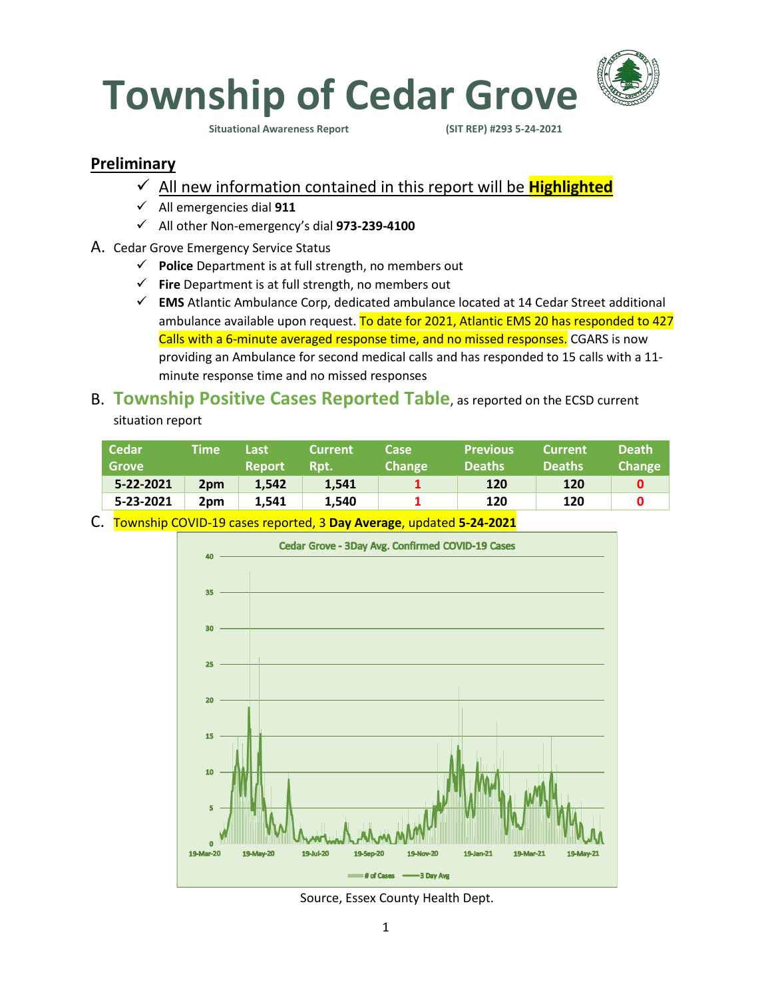

### **Preliminary**

- ✓ All new information contained in this report will be **Highlighted**
- ✓ All emergencies dial **911**
- ✓ All other Non-emergency's dial **973-239-4100**
- A. Cedar Grove Emergency Service Status
	- ✓ **Police** Department is at full strength, no members out
	- ✓ **Fire** Department is at full strength, no members out
	- ✓ **EMS** Atlantic Ambulance Corp, dedicated ambulance located at 14 Cedar Street additional ambulance available upon request. To date for 2021, Atlantic EMS 20 has responded to 427 Calls with a 6-minute averaged response time, and no missed responses. CGARS is now providing an Ambulance for second medical calls and has responded to 15 calls with a 11 minute response time and no missed responses

## B. **Township Positive Cases Reported Table**, as reported on the ECSD current situation report

|                                                       | <b>Change</b><br><b>Deaths</b> |
|-------------------------------------------------------|--------------------------------|
| 5-22-2021<br>1.542<br>1.541<br>120<br>2 <sub>pm</sub> | 120                            |
| 5-23-2021<br>1.540<br>120<br>1.541<br>2pm             | 120                            |

C. Township COVID-19 cases reported, 3 **Day Average**, updated **5-24-2021**



Source, Essex County Health Dept.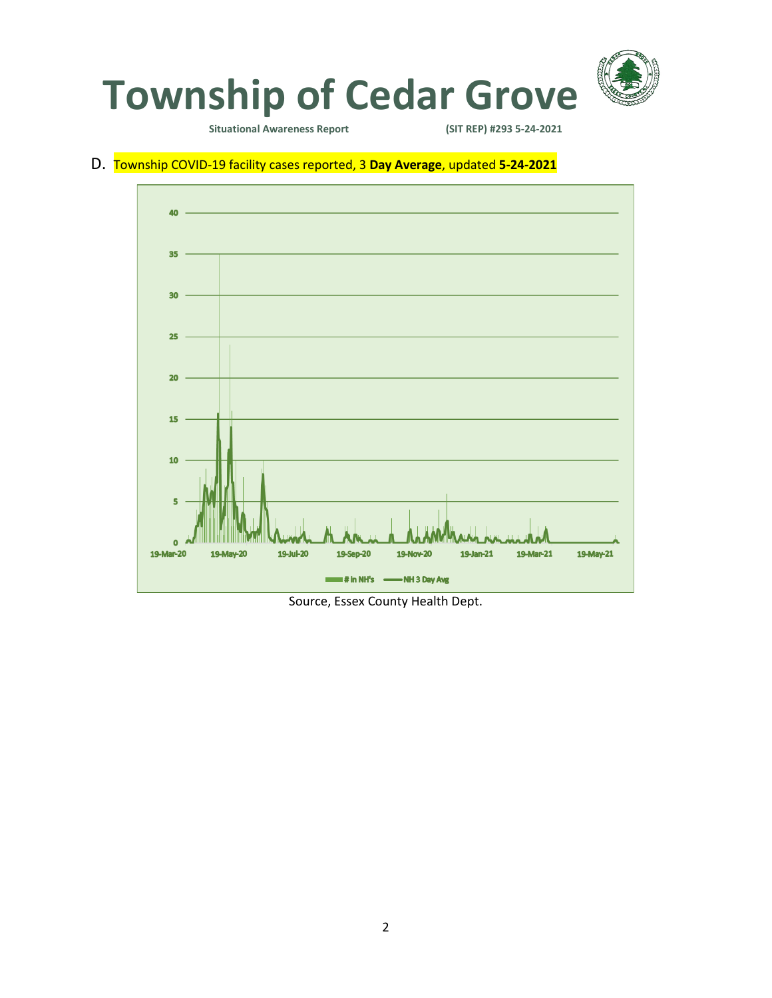

#### D. Township COVID-19 facility cases reported, 3 **Day Average**, updated **5-24-2021**



Source, Essex County Health Dept.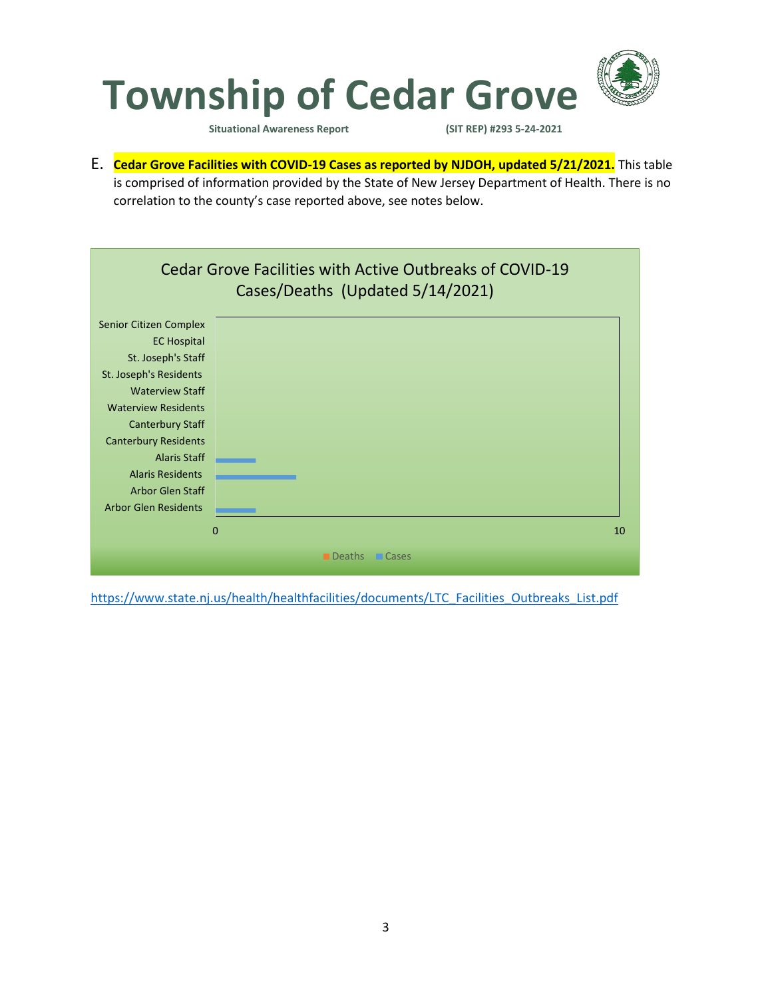

E. **Cedar Grove Facilities with COVID-19 Cases as reported by NJDOH, updated 5/21/2021.** This table is comprised of information provided by the State of New Jersey Department of Health. There is no correlation to the county's case reported above, see notes below.



[https://www.state.nj.us/health/healthfacilities/documents/LTC\\_Facilities\\_Outbreaks\\_List.pdf](https://www.state.nj.us/health/healthfacilities/documents/LTC_Facilities_Outbreaks_List.pdf)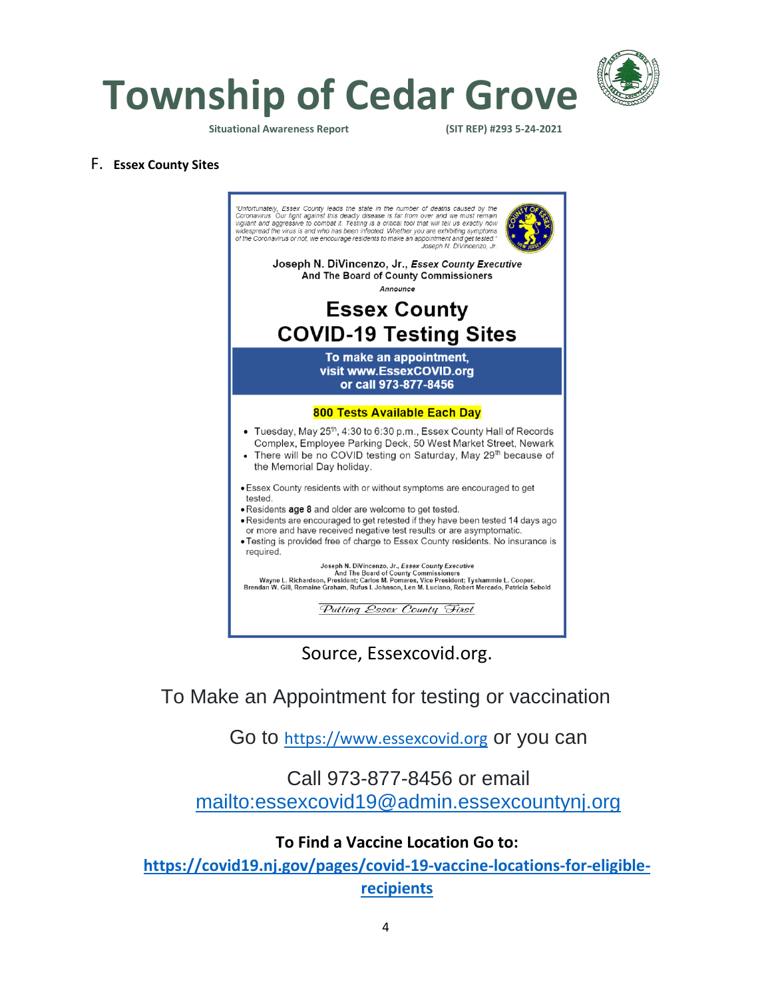

**Township of Cedar Grove**

**Situational Awareness Report (SIT REP) #293 5-24-2021** 

#### F. **Essex County Sites**



Source, Essexcovid.org.

To Make an Appointment for testing or vaccination

Go to [https://www.essexcovid.org](https://www.essexcovid.org/) or you can

## Call 973-877-8456 or email <mailto:essexcovid19@admin.essexcountynj.org>

### **To Find a Vaccine Location Go to:**

**[https://covid19.nj.gov/pages/covid-19-vaccine-locations-for-eligible](https://covid19.nj.gov/pages/covid-19-vaccine-locations-for-eligible-recipients)[recipients](https://covid19.nj.gov/pages/covid-19-vaccine-locations-for-eligible-recipients)**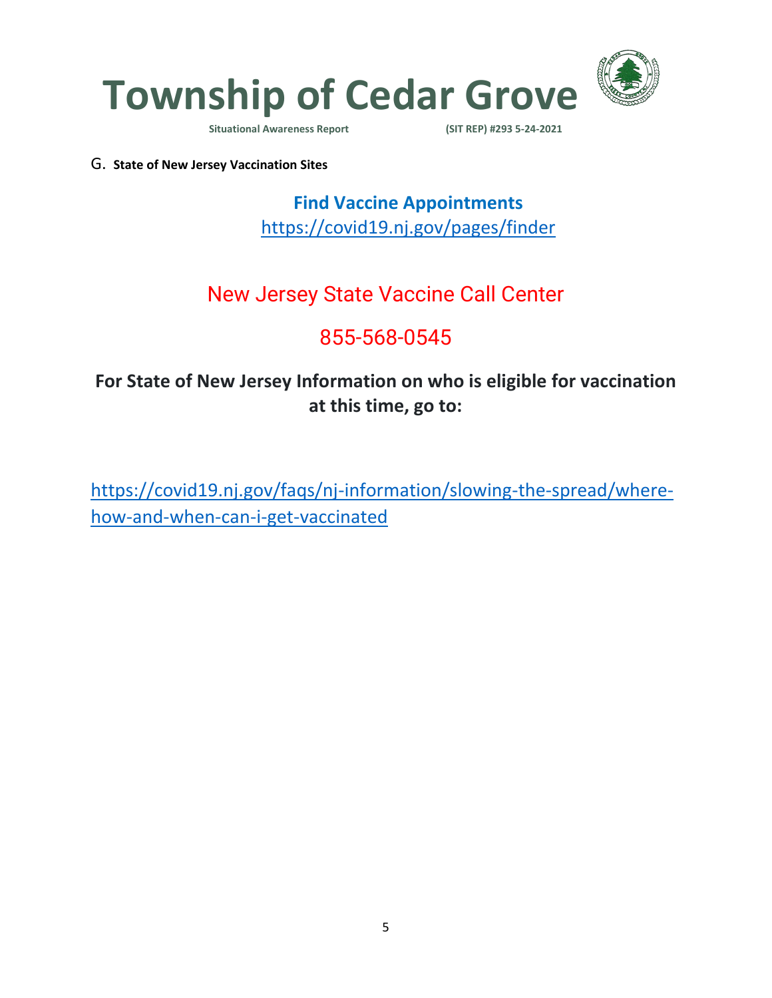

G. **State of New Jersey Vaccination Sites**

**Find Vaccine Appointments**  <https://covid19.nj.gov/pages/finder>

# New Jersey State Vaccine Call Center

# 855-568-0545

# **For State of New Jersey Information on who is eligible for vaccination at this time, go to:**

[https://covid19.nj.gov/faqs/nj-information/slowing-the-spread/where](https://covid19.nj.gov/faqs/nj-information/slowing-the-spread/where-how-and-when-can-i-get-vaccinated)[how-and-when-can-i-get-vaccinated](https://covid19.nj.gov/faqs/nj-information/slowing-the-spread/where-how-and-when-can-i-get-vaccinated)